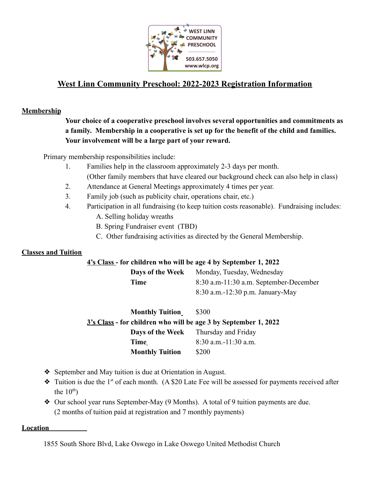

# **West Linn Community Preschool: 2022-2023 Registration Information**

### **Membership**

**Your choice of a cooperative preschool involves several opportunities and commitments as a family. Membership in a cooperative is set up for the benefit of the child and families. Your involvement will be a large part of your reward.**

Primary membership responsibilities include:

- 1. Families help in the classroom approximately 2-3 days per month. (Other family members that have cleared our background check can also help in class)
- 2. Attendance at General Meetings approximately 4 times per year.
- 3. Family job (such as publicity chair, operations chair, etc.)
- 4. Participation in all fundraising (to keep tuition costs reasonable). Fundraising includes: A. Selling holiday wreaths
	- B. Spring Fundraiser event (TBD)
	- C. Other fundraising activities as directed by the General Membership.

#### **Classes and Tuition**

#### **4's Class - for children who will be age 4 by September 1, 2022**

| Days of the Week | Monday, Tuesday, Wednesday             |
|------------------|----------------------------------------|
| Time             | 8:30 a.m-11:30 a.m. September-December |
|                  | $8:30$ a.m.-12:30 p.m. January-May     |

**Monthly Tuition** \$300 **3's Class - for children who will be age 3 by September 1, 2022 Days of the Week** Thursday and Friday **Time** 8:30 a.m. -11:30 a.m. **Monthly Tuition** \$200

- ❖ September and May tuition is due at Orientation in August.
- $\bullet$  Tuition is due the 1<sup>st</sup> of each month. (A \$20 Late Fee will be assessed for payments received after the  $10<sup>th</sup>$ )
- ❖ Our school year runs September-May (9 Months). A total of 9 tuition payments are due. (2 months of tuition paid at registration and 7 monthly payments)

#### **Location**

1855 South Shore Blvd, Lake Oswego in Lake Oswego United Methodist Church